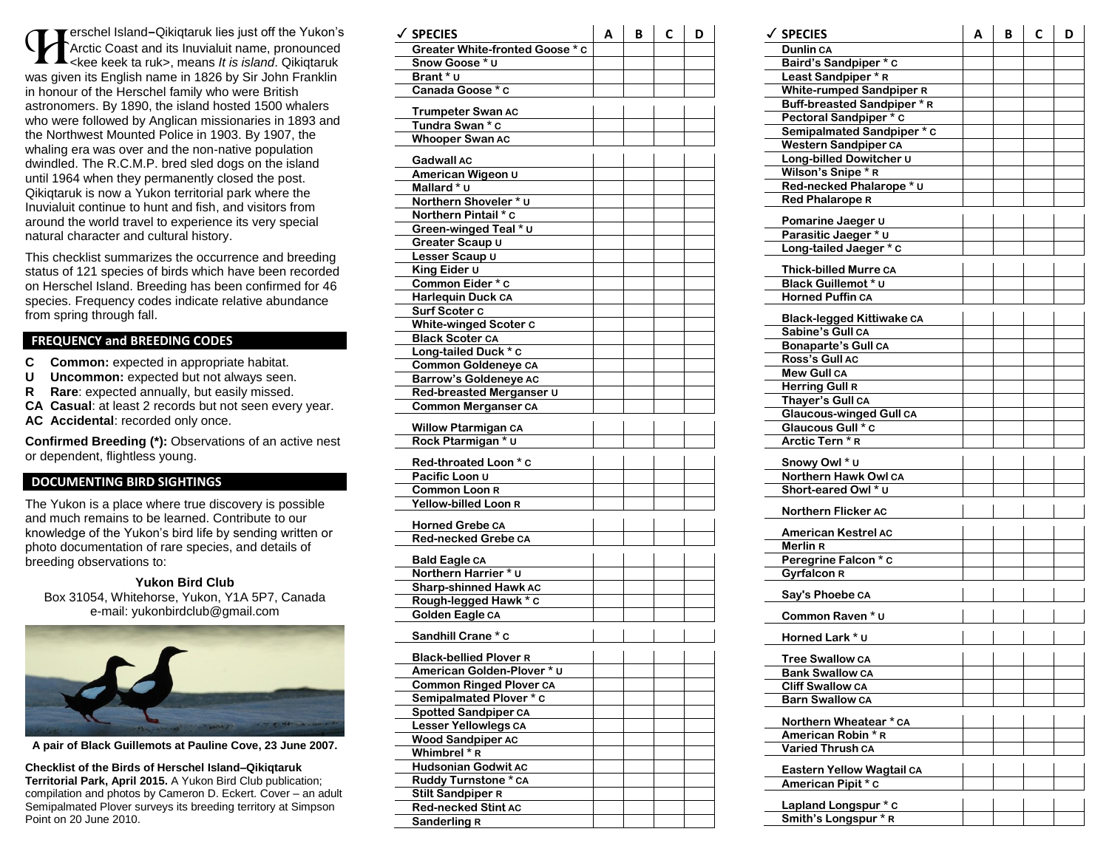erschel Island **–**Qikiqtaruk lies just off the Yukon's Arctic Coast and its Inuvialuit name, pronounced **Example 18 Stand - Qikiqtaruk lies just off the Yukon's Arctic Coast and its Inuvialuit name, pronounced club**<br> **Coast and its Inuvialuit name, pronounced Arctic Coast and its Inuvialuit name, pronounced Arctic Stand.**<br>
W was given its English name in 1826 by Sir John Franklin in honour of the Herschel family who were British astronomer s. By 1890, the island hosted 1500 whalers who were followed by Anglican missionaries in 1893 and the Northwest Mounted Police in 1903. By 1907, the whaling era was over and the non -native population dwindled. The R.C.M.P. bred sled dogs on the island until 1964 when they permanently closed the post. Qikiqtaruk is now a Yukon territorial park where the Inuvialuit continue to hunt and fish , and visitors from around the world travel to experience its very special natural character and cultural history .

This checklist summarizes the occurrence and breeding status of 121 species of birds which have been recorded on Herschel Island. Breeding has been confirmed for 4 6 species. Frequency codes indicate relative abundance from spring through fall .

### **FREQUENCY and BREEDING CODES**

- **C Common:** expected in appropriate habitat.
- **U Uncommon:** expected but not always seen.
- **R Rare**: expected annually, but easily missed.
- **CA Casual**: at least 2 records but not seen every year.
- **AC Accidental**: recorded only once.

**Confirmed Breeding (\*):** Observations of an active nest or dependent, flightless young.

#### **DOCUMENTING BIRD SIGHTINGS**

The Yukon is a place where true discovery is possible and much remains to be learned. Contribute to our knowledge of the Yukon's bird life by sending written or photo documentation of rare species, and details of breeding observations to:

#### **Yukon Bird Club**

Box 31054, Whitehorse, Yukon, Y1A 5P7, Canada e-mail: yukonbirdclub@gmail.com



**A pair of Black Guillemots at Pauline Cove, 23 June 2007.**

#### **Checklist of the Birds of Herschel Island –Qikiqtaruk**

**Territorial Park, April 2015 .** A Yukon Bird Club publication; compilation and photos by Cameron D. Eckert. Cover – an adult Semipalmated Plover surveys its breeding territory at Simpson Point on 20 June 2010.

| $\checkmark$ Species                          | А | в | С | D |
|-----------------------------------------------|---|---|---|---|
| Greater White-fronted Goose * c               |   |   |   |   |
| Snow Goose * u                                |   |   |   |   |
| Brant * ∪                                     |   |   |   |   |
| Canada Goose * c                              |   |   |   |   |
|                                               |   |   |   |   |
| Trumpeter Swan AC                             |   |   |   |   |
| Tundra Swan * c                               |   |   |   |   |
| <b>Whooper Swan AC</b>                        |   |   |   |   |
|                                               |   |   |   |   |
| Gadwall AC<br>American Wigeon U               |   |   |   |   |
| Mallard * u                                   |   |   |   |   |
|                                               |   |   |   |   |
| Northern Shoveler * u<br>Northern Pintail * c |   |   |   |   |
|                                               |   |   |   |   |
| Green-winged Teal * U                         |   |   |   |   |
| Greater Scaup U                               |   |   |   |   |
| Lesser Scaup U                                |   |   |   |   |
| King Eider U                                  |   |   |   |   |
| Common Eider * c                              |   |   |   |   |
| <b>Harlequin Duck CA</b>                      |   |   |   |   |
| Surf Scoter C                                 |   |   |   |   |
| <b>White-winged Scoter C</b>                  |   |   |   |   |
| <b>Black Scoter CA</b>                        |   |   |   |   |
| Long-tailed Duck * c                          |   |   |   |   |
| <b>Common Goldeneye CA</b>                    |   |   |   |   |
| <b>Barrow's Goldeneye AC</b>                  |   |   |   |   |
| Red-breasted Merganser U                      |   |   |   |   |
| <b>Common Merganser CA</b>                    |   |   |   |   |
| <b>Willow Ptarmigan CA</b>                    |   |   |   |   |
| Rock Ptarmigan * U                            |   |   |   |   |
|                                               |   |   |   |   |
| Red-throated Loon * c                         |   |   |   |   |
| Pacific Loon U                                |   |   |   |   |
| <b>Common Loon R</b>                          |   |   |   |   |
| Yellow-billed Loon R                          |   |   |   |   |
| <b>Horned Grebe CA</b>                        |   |   |   |   |
| Red-necked Grebe ca                           |   |   |   |   |
|                                               |   |   |   |   |
| Bald Eagle CA                                 |   |   |   |   |
| Northern Harrier * U                          |   |   |   |   |
| <b>Sharp-shinned Hawk AC</b>                  |   |   |   |   |
| Rough-legged Hawk * c                         |   |   |   |   |
| Golden Eagle CA                               |   |   |   |   |
| Sandhill Crane * c                            |   |   |   |   |
|                                               |   |   |   |   |
| <b>Black-bellied Plover R</b>                 |   |   |   |   |
| American Golden-Plover * U                    |   |   |   |   |
| <b>Common Ringed Plover CA</b>                |   |   |   |   |
| Semipalmated Plover * c                       |   |   |   |   |
| <b>Spotted Sandpiper CA</b>                   |   |   |   |   |
| Lesser Yellowlegs CA                          |   |   |   |   |
| <b>Wood Sandpiper AC</b>                      |   |   |   |   |
| Whimbrel * R                                  |   |   |   |   |
| <b>Hudsonian Godwit AC</b>                    |   |   |   |   |
| Ruddy Turnstone * CA                          |   |   |   |   |
| <b>Stilt Sandpiper R</b>                      |   |   |   |   |
| Red-necked Stint AC                           |   |   |   |   |
| Sanderling R                                  |   |   |   |   |

| ✓ SPECIES                                            | А | В | C | D |
|------------------------------------------------------|---|---|---|---|
| Dunlin CA                                            |   |   |   |   |
| Baird's Sandpiper * c                                |   |   |   |   |
| Least Sandpiper * R                                  |   |   |   |   |
| <b>White-rumped Sandpiper R</b>                      |   |   |   |   |
| Buff-breasted Sandpiper * R                          |   |   |   |   |
| Pectoral Sandpiper * c                               |   |   |   |   |
| Semipalmated Sandpiper * c                           |   |   |   |   |
| <b>Western Sandpiper CA</b>                          |   |   |   |   |
| Long-billed Dowitcher u                              |   |   |   |   |
| Wilson's Snipe * R                                   |   |   |   |   |
| Red-necked Phalarope * U                             |   |   |   |   |
| <b>Red Phalarope R</b>                               |   |   |   |   |
|                                                      |   |   |   |   |
| Pomarine Jaeger U                                    |   |   |   |   |
| Parasitic Jaeger * U                                 |   |   |   |   |
| Long-tailed Jaeger * c                               |   |   |   |   |
| <b>Thick-billed Murre CA</b>                         |   |   |   |   |
| Black Guillemot * U                                  |   |   |   |   |
| <b>Horned Puffin CA</b>                              |   |   |   |   |
|                                                      |   |   |   |   |
| <b>Black-legged Kittiwake CA</b><br>Sabine's Gull CA |   |   |   |   |
|                                                      |   |   |   |   |
| Bonaparte's Gull CA<br>Ross's Gull AC                |   |   |   |   |
| <b>Mew Gull CA</b>                                   |   |   |   |   |
| <b>Herring Gull R</b>                                |   |   |   |   |
| Thayer's Gull CA                                     |   |   |   |   |
| <b>Glaucous-winged Gull CA</b>                       |   |   |   |   |
| Glaucous Gull * C                                    |   |   |   |   |
| Arctic Tern * R                                      |   |   |   |   |
|                                                      |   |   |   |   |
| Snowy Owl * U                                        |   |   |   |   |
| Northern Hawk Owl CA                                 |   |   |   |   |
| Short-eared Owl * U                                  |   |   |   |   |
| Northern Flicker AC                                  |   |   |   |   |
|                                                      |   |   |   |   |
| <b>American Kestrel AC</b>                           |   |   |   |   |
| Merlin R                                             |   |   |   |   |
| Peregrine Falcon * c                                 |   |   |   |   |
| <b>Gyrfalcon R</b>                                   |   |   |   |   |
| Say's Phoebe CA                                      |   |   |   |   |
|                                                      |   |   |   |   |
| Common Raven * u                                     |   |   |   |   |
| Horned Lark * ∪                                      |   |   |   |   |
|                                                      |   |   |   |   |
| <b>Tree Swallow CA</b>                               |   |   |   |   |
| <b>Bank Swallow CA</b>                               |   |   |   |   |
| <b>Cliff Swallow CA</b>                              |   |   |   |   |
| <b>Barn Swallow CA</b>                               |   |   |   |   |
| Northern Wheatear * CA                               |   |   |   |   |
| American Robin * R                                   |   |   |   |   |
| Varied Thrush CA                                     |   |   |   |   |
|                                                      |   |   |   |   |
| Eastern Yellow Wagtail CA                            |   |   |   |   |
| American Pipit * c                                   |   |   |   |   |
| Lapland Longspur * c                                 |   |   |   |   |
| Smith's Longspur * R                                 |   |   |   |   |
|                                                      |   |   |   |   |